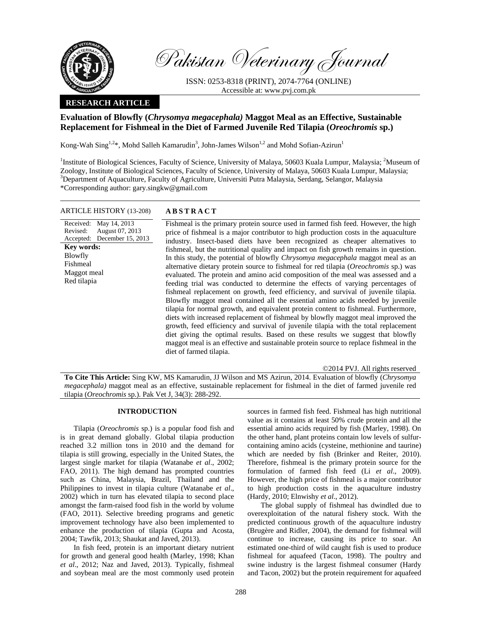

Pakistan Veterinary Journal

ISSN: 0253-8318 (PRINT), 2074-7764 (ONLINE) Accessible at: www.pvj.com.pk

# **RESEARCH ARTICLE**

## **Evaluation of Blowfly (***Chrysomya megacephala)* **Maggot Meal as an Effective, Sustainable Replacement for Fishmeal in the Diet of Farmed Juvenile Red Tilapia (***Oreochromis* **sp.)**

Kong-Wah Sing<sup>1,2\*</sup>, Mohd Salleh Kamarudin<sup>3</sup>, John-James Wilson<sup>1,2</sup> and Mohd Sofian-Azirun<sup>1</sup>

<sup>1</sup>Institute of Biological Sciences, Faculty of Science, University of Malaya, 50603 Kuala Lumpur, Malaysia; <sup>2</sup>Museum of Zoology, Institute of Biological Sciences, Faculty of Science, University of Malaya, 50603 Kuala Lumpur, Malaysia; <sup>3</sup>Department of Aquaculture, Faculty of Agriculture, Universiti Putra Malaysia, Serdang, Selangor, Malaysia \*Corresponding author: gary.singkw@gmail.com

#### ARTICLE HISTORY (13-208) **ABSTRACT**

Received: May 14, 2013 Revised: Accepted: August 07, 2013 December 15, 2013 **Key words:**  Blowfly Fishmeal Maggot meal Red tilapia

 Fishmeal is the primary protein source used in farmed fish feed. However, the high price of fishmeal is a major contributor to high production costs in the aquaculture industry. Insect-based diets have been recognized as cheaper alternatives to fishmeal, but the nutritional quality and impact on fish growth remains in question. In this study, the potential of blowfly *Chrysomya megacephala* maggot meal as an alternative dietary protein source to fishmeal for red tilapia (*Oreochromis* sp.) was evaluated. The protein and amino acid composition of the meal was assessed and a feeding trial was conducted to determine the effects of varying percentages of fishmeal replacement on growth, feed efficiency, and survival of juvenile tilapia. Blowfly maggot meal contained all the essential amino acids needed by juvenile tilapia for normal growth, and equivalent protein content to fishmeal. Furthermore, diets with increased replacement of fishmeal by blowfly maggot meal improved the growth, feed efficiency and survival of juvenile tilapia with the total replacement diet giving the optimal results. Based on these results we suggest that blowfly maggot meal is an effective and sustainable protein source to replace fishmeal in the diet of farmed tilapia.

©2014 PVJ. All rights reserved

**To Cite This Article:** Sing KW, MS Kamarudin, JJ Wilson and MS Azirun, 2014. Evaluation of blowfly (*Chrysomya megacephala)* maggot meal as an effective, sustainable replacement for fishmeal in the diet of farmed juvenile red tilapia (*Oreochromis* sp.). Pak Vet J, 34(3): 288-292.

### **INTRODUCTION**

Tilapia (*Oreochromis* sp.) is a popular food fish and is in great demand globally. Global tilapia production reached 3.2 million tons in 2010 and the demand for tilapia is still growing, especially in the United States, the largest single market for tilapia (Watanabe *et al*., 2002; FAO, 2011). The high demand has prompted countries such as China, Malaysia, Brazil, Thailand and the Philippines to invest in tilapia culture (Watanabe *et al*., 2002) which in turn has elevated tilapia to second place amongst the farm-raised food fish in the world by volume (FAO, 2011). Selective breeding programs and genetic improvement technology have also been implemented to enhance the production of tilapia (Gupta and Acosta, 2004; Tawfik, 2013; Shaukat and Javed, 2013).

In fish feed, protein is an important dietary nutrient for growth and general good health (Marley, 1998; Khan *et al*., 2012; Naz and Javed, 2013). Typically, fishmeal and soybean meal are the most commonly used protein

sources in farmed fish feed. Fishmeal has high nutritional value as it contains at least 50% crude protein and all the essential amino acids required by fish (Marley, 1998). On the other hand, plant proteins contain low levels of sulfurcontaining amino acids (cysteine, methionine and taurine) which are needed by fish (Brinker and Reiter, 2010). Therefore, fishmeal is the primary protein source for the formulation of farmed fish feed (Li *et al*., 2009). However, the high price of fishmeal is a major contributor to high production costs in the aquaculture industry (Hardy, 2010; Elnwishy *et al*., 2012).

The global supply of fishmeal has dwindled due to overexploitation of the natural fishery stock. With the predicted continuous growth of the aquaculture industry (Brugère and Ridler, 2004), the demand for fishmeal will continue to increase, causing its price to soar. An estimated one-third of wild caught fish is used to produce fishmeal for aquafeed (Tacon, 1998). The poultry and swine industry is the largest fishmeal consumer (Hardy and Tacon, 2002) but the protein requirement for aquafeed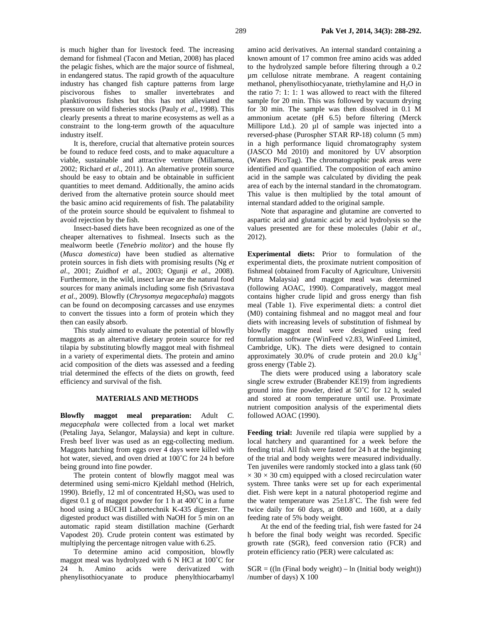is much higher than for livestock feed. The increasing demand for fishmeal (Tacon and Metian, 2008) has placed the pelagic fishes, which are the major source of fishmeal, in endangered status. The rapid growth of the aquaculture industry has changed fish capture patterns from large piscivorous fishes to smaller invertebrates and planktivorous fishes but this has not alleviated the pressure on wild fisheries stocks (Pauly *et al*., 1998). This clearly presents a threat to marine ecosystems as well as a constraint to the long-term growth of the aquaculture industry itself.

It is, therefore, crucial that alternative protein sources be found to reduce feed costs, and to make aquaculture a viable, sustainable and attractive venture (Millamena, 2002; Richard *et al*., 2011). An alternative protein source should be easy to obtain and be obtainable in sufficient quantities to meet demand. Additionally, the amino acids derived from the alternative protein source should meet the basic amino acid requirements of fish. The palatability of the protein source should be equivalent to fishmeal to avoid rejection by the fish.

Insect-based diets have been recognized as one of the cheaper alternatives to fishmeal. Insects such as the mealworm beetle (*Tenebrio molitor*) and the house fly (*Musca domestica*) have been studied as alternative protein sources in fish diets with promising results (Ng *et al*., 2001; Zuidhof *et al*., 2003; Ogunji *et al*., 2008). Furthermore, in the wild, insect larvae are the natural food sources for many animals including some fish (Srivastava *et al*., 2009). Blowfly (*Chrysomya megacephala*) maggots can be found on decomposing carcasses and use enzymes to convert the tissues into a form of protein which they then can easily absorb.

This study aimed to evaluate the potential of blowfly maggots as an alternative dietary protein source for red tilapia by substituting blowfly maggot meal with fishmeal in a variety of experimental diets. The protein and amino acid composition of the diets was assessed and a feeding trial determined the effects of the diets on growth, feed efficiency and survival of the fish.

#### **MATERIALS AND METHODS**

**Blowfly maggot meal preparation:** Adult *C. megacephala* were collected from a local wet market (Petaling Jaya, Selangor, Malaysia) and kept in culture. Fresh beef liver was used as an egg-collecting medium. Maggots hatching from eggs over 4 days were killed with hot water, sieved, and oven dried at 100˚C for 24 h before being ground into fine powder.

The protein content of blowfly maggot meal was determined using semi-micro Kjeldahl method (Helrich, 1990). Briefly, 12 ml of concentrated  $H_2SO_4$  was used to digest 0.1 g of maggot powder for 1 h at 400˚C in a fume hood using a BÜCHI Labortechnik K-435 digester. The digested product was distilled with NaOH for 5 min on an automatic rapid steam distillation machine (Gerhardt Vapodest 20). Crude protein content was estimated by multiplying the percentage nitrogen value with 6.25.

To determine amino acid composition, blowfly maggot meal was hydrolyzed with 6 N HCl at 100˚C for 24 h. Amino acids were derivatized with phenylisothiocyanate to produce phenylthiocarbamyl amino acid derivatives. An internal standard containing a known amount of 17 common free amino acids was added to the hydrolyzed sample before filtering through a 0.2 µm cellulose nitrate membrane. A reagent containing methanol, phenylisothiocyanate, triethylamine and  $H_2O$  in the ratio 7: 1: 1: 1 was allowed to react with the filtered sample for 20 min. This was followed by vacuum drying for 30 min. The sample was then dissolved in 0.1 M ammonium acetate (pH 6.5) before filtering (Merck Millipore Ltd.). 20 µl of sample was injected into a reversed-phase (Purospher STAR RP-18) column (5 mm) in a high performance liquid chromatography system (JASCO Md 2010) and monitored by UV absorption (Waters PicoTag). The chromatographic peak areas were identified and quantified. The composition of each amino acid in the sample was calculated by dividing the peak area of each by the internal standard in the chromatogram. This value is then multiplied by the total amount of internal standard added to the original sample.

Note that asparagine and glutamine are converted to aspartic acid and glutamic acid by acid hydrolysis so the values presented are for these molecules (Jabir *et al*., 2012).

**Experimental diets:** Prior to formulation of the experimental diets, the proximate nutrient composition of fishmeal (obtained from Faculty of Agriculture, Universiti Putra Malaysia) and maggot meal was determined (following AOAC, 1990). Comparatively, maggot meal contains higher crude lipid and gross energy than fish meal (Table 1). Five experimental diets: a control diet (M0) containing fishmeal and no maggot meal and four diets with increasing levels of substitution of fishmeal by blowfly maggot meal were designed using feed formulation software (WinFeed v2.83, WinFeed Limited, Cambridge, UK). The diets were designed to contain approximately  $30.0\%$  of crude protein and  $20.0 \text{ kJg}^{-1}$ gross energy (Table 2).

The diets were produced using a laboratory scale single screw extruder (Brabender KE19) from ingredients ground into fine powder, dried at 50˚C for 12 h, sealed and stored at room temperature until use. Proximate nutrient composition analysis of the experimental diets followed AOAC (1990).

**Feeding trial:** Juvenile red tilapia were supplied by a local hatchery and quarantined for a week before the feeding trial. All fish were fasted for 24 h at the beginning of the trial and body weights were measured individually. Ten juveniles were randomly stocked into a glass tank (60  $\times$  30  $\times$  30 cm) equipped with a closed recirculation water system. Three tanks were set up for each experimental diet. Fish were kept in a natural photoperiod regime and the water temperature was  $25\pm1.8^{\circ}$ C. The fish were fed twice daily for 60 days, at 0800 and 1600, at a daily feeding rate of 5% body weight.

At the end of the feeding trial, fish were fasted for 24 h before the final body weight was recorded. Specific growth rate (SGR), feed conversion ratio (FCR) and protein efficiency ratio (PER) were calculated as:

 $SGR = ((ln (Final body weight) – ln (Initial body weight))$ /number of days) X 100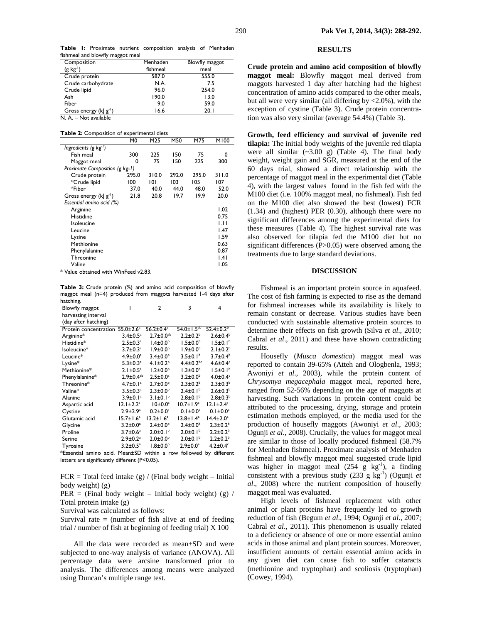**Table 1:** Proximate nutrient composition analysis of Menhaden fishmeal and blowfly maggot meal

| Composition                 | Menhaden | Blowfly maggot |
|-----------------------------|----------|----------------|
| $(g \ kg1)$                 | fishmeal | meal           |
| Crude protein               | 587.0    | 555.0          |
| Crude carbohydrate          | N.A.     | 7.5            |
| Crude lipid                 | 96.0     | 254.0          |
| Ash                         | 190.0    | 13.0           |
| Fiber                       | 9.0      | 59.0           |
| Gross energy (k  $g^{-1}$ ) | 16.6     | 20.1           |

N. A. – Not available

**Table 2:** Composition of experimental diets

|                                | M0    | M25   | M50   | M75   | M100  |
|--------------------------------|-------|-------|-------|-------|-------|
| Ingredients (g $kg-1$ )        |       |       |       |       |       |
| Fish meal                      | 300   | 225   | 150   | 75    | 0     |
| Maggot meal                    | 0     | 75    | 150   | 225   | 300   |
| Proximate Composition (g kg-1) |       |       |       |       |       |
| Crude protein                  | 295.0 | 310.0 | 292.0 | 295.0 | 311.0 |
| *Crude lipid                   | 100   | 101   | 103   | 105   | 107   |
| *Fiber                         | 37.0  | 40.0  | 44.0  | 48.0  | 52.0  |
| Gross energy (k  $g^{-1}$ )    | 21.8  | 20.8  | 19.7  | 19.9  | 20.0  |
| Essential amino acid (%)       |       |       |       |       |       |
| Arginine                       |       |       |       |       | 1.02  |
| Histidine                      |       |       |       |       | 0.75  |
| Isoleucine                     |       |       |       |       | ЫI    |
| Leucine                        |       |       |       |       | 1.47  |
| Lysine                         |       |       |       |       | 1.59  |
| Methionine                     |       |       |       |       | 0.63  |
| Phenylalanine                  |       |       |       |       | 0.87  |
| Threonine                      |       |       |       |       | .4    |
| Valine                         |       |       |       |       | 1.05  |

\* Value obtained with WinFeed v2.83.

**Table 3:** Crude protein (%) and amino acid composition of blowfly maggot meal (n=4) produced from maggots harvested 1-4 days after hatching.

| Blowfly maggot                              |                                         | $\overline{2}$              | 3                                                    | 4                                                    |
|---------------------------------------------|-----------------------------------------|-----------------------------|------------------------------------------------------|------------------------------------------------------|
| harvesting interval                         |                                         |                             |                                                      |                                                      |
| (day after hatching)                        |                                         |                             |                                                      |                                                      |
| Protein concentration 55.0±2.6 <sup>a</sup> |                                         | $56.2 \pm 0.4$ <sup>a</sup> | $54.0 \pm 1.5^{ab}$                                  | $52.4 \pm 0.2^b$                                     |
| Arginine*                                   | $3.4 \pm 0.5^a$                         | $2.7 \pm 0.0^{ab}$          | $2.2 \pm 0.2^b$                                      | $2.6 \pm 0.4^b$                                      |
| Histidine*                                  | $2.5 \pm 0.3^a$                         | $1.4 \pm 0.0^b$             | $1.5 \pm 0.0^b$                                      | $1.5 \pm 0.1^b$                                      |
| Isoleucine*                                 | $3.7 \pm 0.3^a$                         | $1.9 \pm 0.0^{\circ}$       | $1.9 \pm 0.0^b$                                      | $2.1 \pm 0.2^b$                                      |
| Leucine*                                    | $4.9 \pm 0.0^a$                         | $3.4 \pm 0.0^b$             | $3.5 \pm 0.1^b$                                      | $3.7 \pm 0.4^b$                                      |
| Lysine*                                     | $5.3 \pm 0.3$ <sup>a</sup>              | 4.1 $\pm$ 0.2 <sup>b</sup>  | $4.4 \pm 0.2^{bc}$                                   | $4.6 \pm 0.4$ <sup>c</sup>                           |
| Methionine*                                 | $2.1 \pm 0.5^a$                         | $1.2 \pm 0.0^b$             | $1.3 \pm 0.0^{\circ}$                                | $1.5 \pm 0.1^b$                                      |
| Phenylalanine*                              | $2.9 \pm 0.4$ <sup>ab</sup>             | $2.5 \pm 0.0^a$             | $3.2 \pm 0.0^{\rm b}$                                | $4.0\pm0.4$ <sup>c</sup>                             |
| Threonine*                                  | $4.7 \pm 0.1$ <sup>a</sup>              | $2.7 \pm 0.0^b$             | $2.3 \pm 0.2^b$                                      | $2.3 \pm 0.3^b$                                      |
| Valine*                                     | $3.5 \pm 0.3^a$                         | $2.3 \pm 0.0^b$             | $2.4 \pm 0.1^b$                                      | $2.6 \pm 0.3^b$                                      |
| Alanine                                     | $3.9 \pm 0.1$ <sup>a</sup>              | $3.1 \pm 0.1^b$             | $2.8 \pm 0.1^b$                                      | $2.8 \pm 0.3^b$                                      |
| Aspartic acid                               | $12.1 \pm 2.2^a$                        | $10±0.0^a$                  | $10.7 \pm 1.9^a$                                     | $12.1 \pm 2.4^a$                                     |
| Cystine                                     | $2.9 \pm 2.9^a$                         | $0.2 \pm 0.0^a$             | $0.1 \pm 0.0^a$                                      | $0.1 \pm 0.0^a$                                      |
| Glutamic acid                               | $15.7 \pm 1.6^a$                        | $13.2 \pm 1.6^a$            | $13.8 \pm 1.4^a$                                     | $14.4 \pm 2.0^a$                                     |
| Glycine                                     | $3.2 \pm 0.0^a$                         | $2.4 \pm 0.0^{\circ}$       | $2.4 \pm 0.0^b$                                      | $2.3 \pm 0.2^b$                                      |
| Proline                                     | $3.7 \pm 0.6^a$                         | $2.0 \pm 0.1^b$             | $2.0 \pm 0.1$ <sup>b</sup>                           | $2.2 \pm 0.2^b$                                      |
| Serine                                      | $2.9 \pm 0.2$ <sup>a</sup>              | $2.0 \pm 0.0^b$             | $2.0 \pm 0.1$ <sup>b</sup>                           | $2.2 \pm 0.2^b$                                      |
| Tyrosine<br>$\mathbf{r}$                    | $3.2 \pm 0.5^{\circ}$<br>$\overline{a}$ | $1.8 \pm 0.0^{\circ}$<br>.  | $2.9 \pm 0.0^a$<br>$\overline{\phantom{a}}$<br>- - - | $4.2\pm0.4$ <sup>c</sup><br>$\overline{\phantom{a}}$ |

\*Essential amino acid. Mean±SD within a row followed by different letters are significantly different (P<0.05).

 $FCR = Total feed intake (g) / (Final body weight - Initial)$ body weight) (g)

PER = (Final body weight – Initial body weight) (g)  $\ell$ Total protein intake (g)

Survival was calculated as follows:

Survival rate  $=$  (number of fish alive at end of feeding trial / number of fish at beginning of feeding trial) X 100

All the data were recorded as mean±SD and were subjected to one-way analysis of variance (ANOVA). All percentage data were arcsine transformed prior to analysis. The differences among means were analyzed using Duncan's multiple range test.

#### **RESULTS**

**Crude protein and amino acid composition of blowfly maggot meal:** Blowfly maggot meal derived from maggots harvested 1 day after hatching had the highest concentration of amino acids compared to the other meals, but all were very similar (all differing by  $\langle 2.0\%$ ), with the exception of cystine (Table 3). Crude protein concentration was also very similar (average 54.4%) (Table 3).

**Growth, feed efficiency and survival of juvenile red tilapia:** The initial body weights of the juvenile red tilapia were all similar  $(\sim 3.00 \text{ g})$  (Table 4). The final body weight, weight gain and SGR, measured at the end of the 60 days trial, showed a direct relationship with the percentage of maggot meal in the experimental diet (Table 4), with the largest values found in the fish fed with the M100 diet (i.e. 100% maggot meal, no fishmeal). Fish fed on the M100 diet also showed the best (lowest) FCR (1.34) and (highest) PER (0.30), although there were no significant differences among the experimental diets for these measures (Table 4). The highest survival rate was also observed for tilapia fed the M100 diet but no significant differences (P>0.05) were observed among the treatments due to large standard deviations.

#### **DISCUSSION**

Fishmeal is an important protein source in aquafeed. The cost of fish farming is expected to rise as the demand for fishmeal increases while its availability is likely to remain constant or decrease. Various studies have been conducted with sustainable alternative protein sources to determine their effects on fish growth (Silva *et al*., 2010; Cabral *et al*., 2011) and these have shown contradicting results.

Housefly (*Musca domestica*) maggot meal was reported to contain 39-65% (Atteh and Ologbenla, 1993; Awoniyi *et al*., 2003), while the protein content of *Chrysomya megacephala* maggot meal, reported here, ranged from 52-56% depending on the age of maggots at harvesting. Such variations in protein content could be attributed to the processing, drying, storage and protein estimation methods employed, or the media used for the production of housefly maggots (Awoniyi *et al*., 2003; Ogunji *et al*., 2008). Crucially, the values for maggot meal are similar to those of locally produced fishmeal (58.7% for Menhaden fishmeal). Proximate analysis of Menhaden fishmeal and blowfly maggot meal suggested crude lipid was higher in maggot meal  $(254 \text{ g kg}^{-1})$ , a finding consistent with a previous study  $(233 \text{ g kg}^{-1})$  (Ogunji *et al*., 2008) where the nutrient composition of housefly maggot meal was evaluated.

High levels of fishmeal replacement with other animal or plant proteins have frequently led to growth reduction of fish (Begum *et al*., 1994; Ogunji *et al*., 2007; Cabral *et al*., 2011). This phenomenon is usually related to a deficiency or absence of one or more essential amino acids in those animal and plant protein sources. Moreover, insufficient amounts of certain essential amino acids in any given diet can cause fish to suffer cataracts (methionine and tryptophan) and scoliosis (tryptophan) (Cowey, 1994).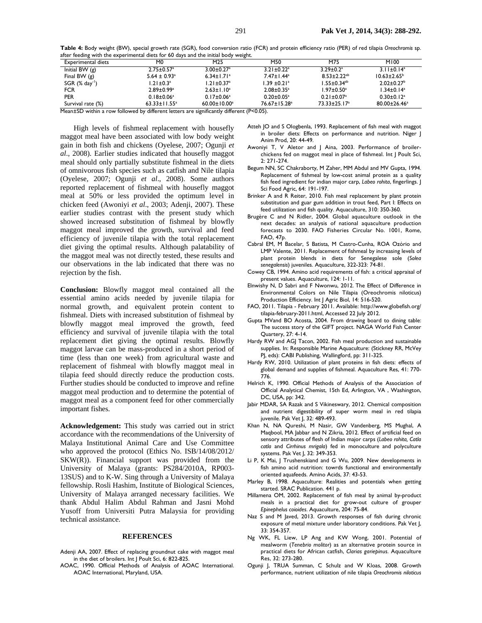**Table 4:** Body weight (BW), special growth rate (SGR), food conversion ratio (FCR) and protein efficiency ratio (PER) of red tilapia *Oreochromis* sp. after feeding with the experimental diets for 60 days and the initial body weight.

| <b>Experimental diets</b>    | M <sub>0</sub>               | M25                          | M50                            | M75                           | M100                         |
|------------------------------|------------------------------|------------------------------|--------------------------------|-------------------------------|------------------------------|
| Initial BW $(g)$             | $2.75 \pm 0.57$ <sup>a</sup> | $3.00 \pm 0.27$ <sup>a</sup> | $3.21 \pm 0.22$ <sup>a</sup>   | $3.29 \pm 0.2$ <sup>a</sup>   | $3.11 \pm 0.14$ <sup>a</sup> |
| Final BW $(g)$               | $5.64 \pm 0.93$ <sup>a</sup> | $6.34 \pm 1.71$ <sup>a</sup> | $7.47 \pm 1.44^a$              | $8.53 \pm 2.22^{ab}$          | $10.63 \pm 2.65^{\circ}$     |
| $SGR$ (% day <sup>-1</sup> ) | $1.21 \pm 0.3^a$             | $1.21 \pm 0.37$ <sup>a</sup> | $1.39 \pm 0.21$ <sup>a</sup>   | $1.55 \pm 0.34$ <sup>ab</sup> | $2.02 \pm 0.27$ <sup>b</sup> |
| <b>FCR</b>                   | $2.89 \pm 0.99$ <sup>a</sup> | $2.63 \pm 1.10^a$            | $2.08 \pm 0.35$ <sup>a</sup>   | $1.97 \pm 0.50^a$             | $1.34 \pm 0.14$ <sup>a</sup> |
| <b>PER</b>                   | $0.18 \pm 0.06^a$            | $0.17 \pm 0.06^a$            | $0.20 \pm 0.05^{\text{a}}$     | $0.21 \pm 0.07$ <sup>a</sup>  | $0.30 \pm 0.12$ <sup>a</sup> |
| Survival rate (%)            | $63.33 \pm 11.55^a$          | $60.00 \pm 10.00^a$          | $76.67 \pm 15.28$ <sup>a</sup> | $73.33 \pm 25.17^a$           | $80.00 \pm 26.46^a$          |

Mean±SD within a row followed by different letters are significantly different (P<0.05).

High levels of fishmeal replacement with housefly maggot meal have been associated with low body weight gain in both fish and chickens (Oyelese, 2007; Ogunji *et al*., 2008). Earlier studies indicated that housefly maggot meal should only partially substitute fishmeal in the diets of omnivorous fish species such as catfish and Nile tilapia (Oyelese, 2007; Ogunji *et al*., 2008). Some authors reported replacement of fishmeal with housefly maggot meal at 50% or less provided the optimum level in chicken feed (Awoniyi *et al*., 2003; Adenji, 2007). These earlier studies contrast with the present study which showed increased substitution of fishmeal by blowfly maggot meal improved the growth, survival and feed efficiency of juvenile tilapia with the total replacement diet giving the optimal results. Although palatability of the maggot meal was not directly tested, these results and our observations in the lab indicated that there was no rejection by the fish.

**Conclusion:** Blowfly maggot meal contained all the essential amino acids needed by juvenile tilapia for normal growth, and equivalent protein content to fishmeal. Diets with increased substitution of fishmeal by blowfly maggot meal improved the growth, feed efficiency and survival of juvenile tilapia with the total replacement diet giving the optimal results. Blowfly maggot larvae can be mass-produced in a short period of time (less than one week) from agricultural waste and replacement of fishmeal with blowfly maggot meal in tilapia feed should directly reduce the production costs. Further studies should be conducted to improve and refine maggot meal production and to determine the potential of maggot meal as a component feed for other commercially important fishes.

**Acknowledgement:** This study was carried out in strict accordance with the recommendations of the University of Malaya Institutional Animal Care and Use Committee who approved the protocol (Ethics No. ISB/14/08/2012/ SKW(R)). Financial support was provided from the University of Malaya (grants: PS284/2010A, RP003- 13SUS) and to K-W. Sing through a University of Malaya fellowship. Rosli Hashim, Institute of Biological Sciences, University of Malaya arranged necessary facilities. We thank Abdul Halim Abdul Rahman and Jasni Mohd Yusoff from Universiti Putra Malaysia for providing technical assistance.

#### **REFERENCES**

- Adenji AA, 2007. Effect of replacing groundnut cake with maggot meal in the diet of broilers. Int J Poult Sci, 6: 822-825.
- AOAC, 1990. Official Methods of Analysis of AOAC International. AOAC International, Maryland, USA.
- Atteh JO and S Ologbenla, 1993. Replacement of fish meal with maggot in broiler diets: Effects on performance and nutrition. Niger J Anim Prod, 20: 44-49.
- Awoniyi T, V Aletor and J Aina, 2003. Performance of broilerchickens fed on maggot meal in place of fishmeal. Int J Poult Sci, 2: 271-274.
- Begum NN, SC Chakraborty, M Zaher, MM Abdul and MV Gupta, 1994. Replacement of fishmeal by low-cost animal protein as a quality fish feed ingredient for indian major carp, *Labeo rohita*, fingerlings. J Sci Food Agric, 64: 191-197.
- Brinker A and R Reiter, 2010. Fish meal replacement by plant protein substitution and guar gum addition in trout feed, Part I: Effects on feed utilization and fish quality. Aquaculture, 310: 350-360.
- Brugère C and N Ridler, 2004. Global aquaculture outlook in the next decades: an analysis of national aquaculture production forecasts to 2030. FAO Fisheries Circular No. 1001, Rome, FAO, 47p.
- Cabral EM, M Bacelar, S Batista, M Castro-Cunha, ROA Ozório and LMP Valente, 2011. Replacement of fishmeal by increasing levels of plant protein blends in diets for Senegalese sole (*Solea senegalensis*) juveniles. Aquaculture, 322-323: 74-81.
- Cowey CB, 1994. Amino acid requirements of fish: a critical appraisal of present values. Aquaculture, 124: 1-11.
- Elnwishy N, D Sabri and F Nwonwu, 2012. The Effect of Difference in Environmental Colors on Nile Tilapia (Oreochromis niloticus) Production Efficiency. Int | Agric Biol, 14: 516-520.
- FAO, 2011. Tilapia February 2011. Available: http://www.globefish.org/ tilapia-february-2011.html, Accessed 22 July 2012.
- Gupta MVand BO Acosta, 2004. From drawing board to dining table: The success story of the GIFT project. NAGA World Fish Center Quartery, 27: 4-14.
- Hardy RW and AGJ Tacon, 2002. Fish meal production and sustainable supplies. In: Responsible Marine Aquaculture: (Stickney RR, McVey PJ, eds): CABI Publishing, Wallingford, pp: 311-325.
- Hardy RW, 2010. Utilization of plant proteins in fish diets: effects of global demand and supplies of fishmeal. Aquaculture Res, 41: 770- 776.
- Helrich K, 1990. Official Methods of Analysis of the Association of Official Analytical Chemist, 15th Ed, Arlington, VA , Washington, DC, USA, pp: 342.
- Jabir MDAR, SA Razak and S Vikineswary, 2012. Chemical composition and nutrient digestibility of super worm meal in red tilapia juvenile. Pak Vet J, 32: 489-493.
- Khan N, NA Qureshi, M Nasir, GW Vandenberg, MS Mughal, A Maqbool, MA Jabbar and N Zikria, 2012. Effect of artificial feed on sensory attributes of flesh of Indian major carps (*Labeo rohita, Catla catla* and *Cirrhinus mrigala*) fed in monoculture and polyculture systems. Pak Vet J, 32: 349-353.
- Li P, K Mai, J Trushenskiand and G Wu, 2009. New developments in fish amino acid nutrition: towrds functional and environmentally oriented aquafeeds. Amino Acids, 37: 43-53.
- Marley B, 1998. Aquaculture: Realities and potentials when getting started. SRAC Publication. 441 p.
- Millamena OM, 2002. Replacement of fish meal by animal by-product meals in a practical diet for grow-out culture of grouper *Epinephelus coioides*. Aquaculture, 204: 75-84.
- Naz S and M Javed, 2013. Growth responses of fish during chronic exposure of metal mixture under laboratory conditions. Pak Vet J, 33: 354-357.
- Ng WK, FL Liew, LP Ang and KW Wong, 2001. Potential of mealworm (*Tenebrio molitor*) as an alternative protein source in practical diets for African catfish, *Clarias gariepinus*. Aquaculture Res, 32: 273-280.
- Ogunji J, TRUA Summan, C Schulz and W Kloas, 2008. Growth performance, nutrient utilization of nile tilapia *Oreochromis niloticus*